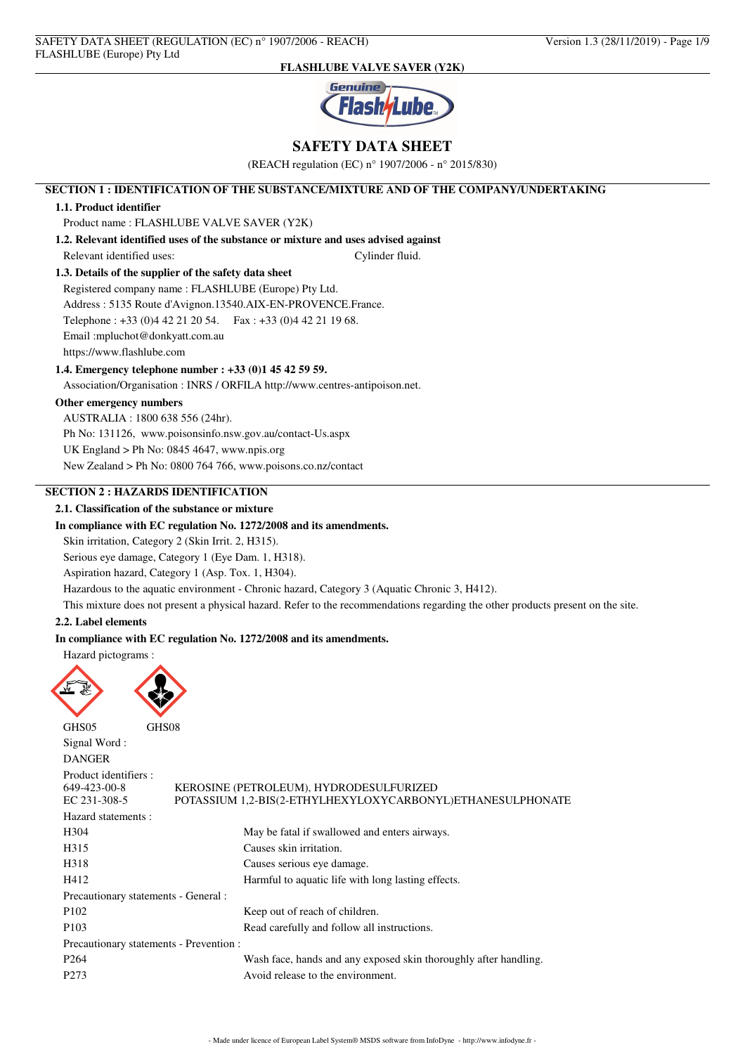

## **SAFETY DATA SHEET**

(REACH regulation (EC) n° 1907/2006 - n° 2015/830)

## **SECTION 1 : IDENTIFICATION OF THE SUBSTANCE/MIXTURE AND OF THE COMPANY/UNDERTAKING**

### **1.1. Product identifier**

Product name : FLASHLUBE VALVE SAVER (Y2K)

**1.2. Relevant identified uses of the substance or mixture and uses advised against** Relevant identified uses: Cylinder fluid.

## **1.3. Details of the supplier of the safety data sheet**

Registered company name : FLASHLUBE (Europe) Pty Ltd. Address : 5135 Route d'Avignon.13540.AIX-EN-PROVENCE.France. Telephone : +33 (0)4 42 21 20 54. Fax : +33 (0)4 42 21 19 68. Email :mpluchot@donkyatt.com.au https://www.flashlube.com

### **1.4. Emergency telephone number : +33 (0)1 45 42 59 59.**

Association/Organisation : INRS / ORFILA http://www.centres-antipoison.net.

## **Other emergency numbers**

AUSTRALIA : 1800 638 556 (24hr). Ph No: 131126, www.poisonsinfo.nsw.gov.au/contact-Us.aspx UK England > Ph No: 0845 4647, www.npis.org New Zealand > Ph No: 0800 764 766, www.poisons.co.nz/contact

## **SECTION 2 : HAZARDS IDENTIFICATION**

## **2.1. Classification of the substance or mixture**

### **In compliance with EC regulation No. 1272/2008 and its amendments.**

Skin irritation, Category 2 (Skin Irrit. 2, H315).

Serious eye damage, Category 1 (Eye Dam. 1, H318).

Aspiration hazard, Category 1 (Asp. Tox. 1, H304).

Hazardous to the aquatic environment - Chronic hazard, Category 3 (Aquatic Chronic 3, H412).

This mixture does not present a physical hazard. Refer to the recommendations regarding the other products present on the site.

### **2.2. Label elements**

### **In compliance with EC regulation No. 1272/2008 and its amendments.**

Hazard pictograms :





| Signal Word:                                          |                                                                                                       |
|-------------------------------------------------------|-------------------------------------------------------------------------------------------------------|
| <b>DANGER</b>                                         |                                                                                                       |
| Product identifiers :<br>649-423-00-8<br>EC 231-308-5 | KEROSINE (PETROLEUM), HYDRODESULFURIZED<br>POTASSIUM 1.2-BIS(2-ETHYLHEXYLOXYCARBONYL)ETHANESULPHONATE |
| Hazard statements :                                   |                                                                                                       |
| H <sub>304</sub>                                      | May be fatal if swallowed and enters airways.                                                         |
| H315                                                  | Causes skin irritation.                                                                               |
| H318                                                  | Causes serious eye damage.                                                                            |
| H412                                                  | Harmful to aquatic life with long lasting effects.                                                    |
| Precautionary statements - General :                  |                                                                                                       |
| P <sub>102</sub>                                      | Keep out of reach of children.                                                                        |
| P <sub>103</sub>                                      | Read carefully and follow all instructions.                                                           |
|                                                       | Precautionary statements - Prevention :                                                               |
| P <sub>264</sub>                                      | Wash face, hands and any exposed skin thoroughly after handling.                                      |
| P <sub>273</sub>                                      | Avoid release to the environment.                                                                     |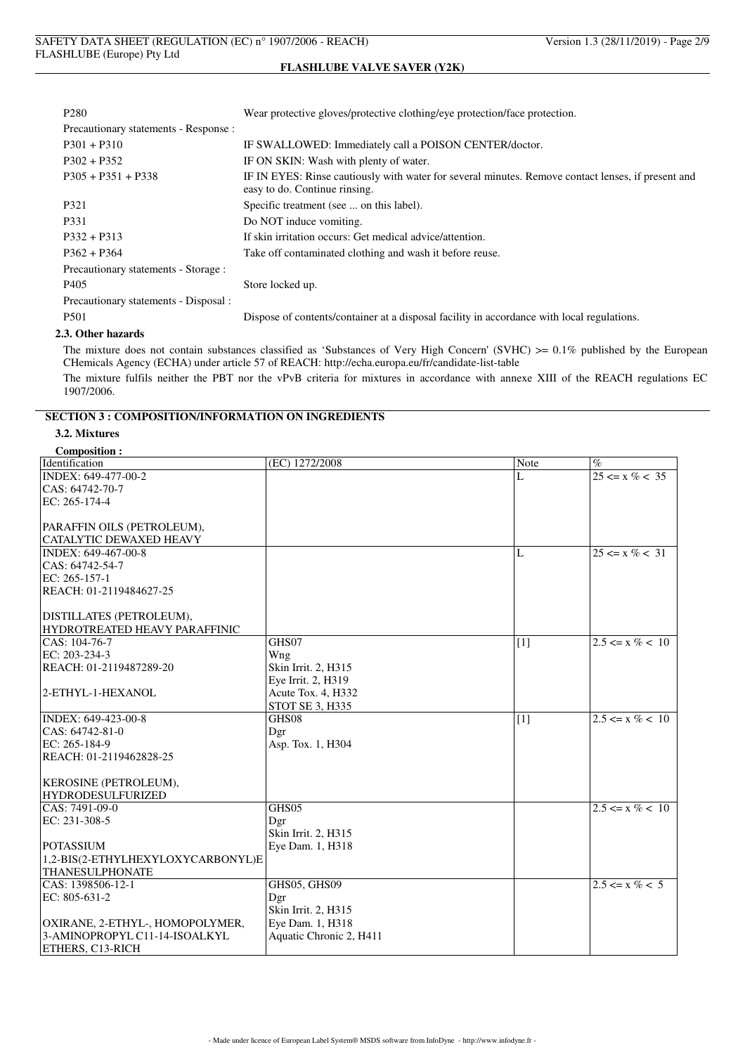| P <sub>280</sub>                      | Wear protective gloves/protective clothing/eye protection/face protection.                                                          |
|---------------------------------------|-------------------------------------------------------------------------------------------------------------------------------------|
| Precautionary statements - Response : |                                                                                                                                     |
| $P301 + P310$                         | IF SWALLOWED: Immediately call a POISON CENTER/doctor.                                                                              |
| $P302 + P352$                         | IF ON SKIN: Wash with plenty of water.                                                                                              |
| $P305 + P351 + P338$                  | IF IN EYES: Rinse cautiously with water for several minutes. Remove contact lenses, if present and<br>easy to do. Continue rinsing. |
| P321                                  | Specific treatment (see  on this label).                                                                                            |
| P <sub>331</sub>                      | Do NOT induce vomiting.                                                                                                             |
| $P332 + P313$                         | If skin irritation occurs: Get medical advice/attention.                                                                            |
| $P362 + P364$                         | Take off contaminated clothing and wash it before reuse.                                                                            |
| Precautionary statements - Storage :  |                                                                                                                                     |
| P <sub>405</sub>                      | Store locked up.                                                                                                                    |
| Precautionary statements - Disposal : |                                                                                                                                     |
| P <sub>501</sub>                      | Dispose of contents/container at a disposal facility in accordance with local regulations.                                          |

#### **2.3. Other hazards**

The mixture does not contain substances classified as 'Substances of Very High Concern' (SVHC) >= 0.1% published by the European CHemicals Agency (ECHA) under article 57 of REACH: http://echa.europa.eu/fr/candidate-list-table

The mixture fulfils neither the PBT nor the vPvB criteria for mixtures in accordance with annexe XIII of the REACH regulations EC 1907/2006.

## **SECTION 3 : COMPOSITION/INFORMATION ON INGREDIENTS**

### **3.2. Mixtures**

### **Composition :**

| Composition .<br>Identification   | (EC) 1272/2008          | <b>Note</b>     | $\%$                |
|-----------------------------------|-------------------------|-----------------|---------------------|
| INDEX: 649-477-00-2               |                         | L               | $25 \le x \% < 35$  |
| CAS: 64742-70-7                   |                         |                 |                     |
| EC: 265-174-4                     |                         |                 |                     |
|                                   |                         |                 |                     |
| PARAFFIN OILS (PETROLEUM),        |                         |                 |                     |
| <b>CATALYTIC DEWAXED HEAVY</b>    |                         |                 |                     |
| INDEX: 649-467-00-8               |                         | L               | $25 \le x \% < 31$  |
| CAS: 64742-54-7                   |                         |                 |                     |
| EC: 265-157-1                     |                         |                 |                     |
| REACH: 01-2119484627-25           |                         |                 |                     |
|                                   |                         |                 |                     |
| DISTILLATES (PETROLEUM),          |                         |                 |                     |
| HYDROTREATED HEAVY PARAFFINIC     |                         |                 |                     |
| CAS: 104-76-7                     | GHS07                   | $\overline{11}$ | $2.5 \le x \% < 10$ |
| EC: 203-234-3                     | Wng                     |                 |                     |
| REACH: 01-2119487289-20           | Skin Irrit. 2, H315     |                 |                     |
|                                   | Eye Irrit. 2, H319      |                 |                     |
| 2-ETHYL-1-HEXANOL                 | Acute Tox. 4, H332      |                 |                     |
|                                   | STOT SE 3, H335         |                 |                     |
| INDEX: 649-423-00-8               | GHS08                   | $[1]$           | $2.5 \le x \% < 10$ |
| CAS: 64742-81-0                   | Dgr                     |                 |                     |
| EC: 265-184-9                     | Asp. Tox. 1, H304       |                 |                     |
| REACH: 01-2119462828-25           |                         |                 |                     |
|                                   |                         |                 |                     |
| <b>KEROSINE (PETROLEUM),</b>      |                         |                 |                     |
| <b>HYDRODESULFURIZED</b>          |                         |                 |                     |
| CAS: 7491-09-0                    | GHS05                   |                 | $2.5 \le x \% < 10$ |
| EC: 231-308-5                     | Dgr                     |                 |                     |
|                                   | Skin Irrit. 2, H315     |                 |                     |
| <b>POTASSIUM</b>                  | Eye Dam. 1, H318        |                 |                     |
| 1,2-BIS(2-ETHYLHEXYLOXYCARBONYL)E |                         |                 |                     |
| <b>THANESULPHONATE</b>            |                         |                 |                     |
| CAS: 1398506-12-1                 | GHS05, GHS09            |                 | $2.5 \le x \% < 5$  |
| EC: 805-631-2                     | Dgr                     |                 |                     |
|                                   | Skin Irrit. 2, H315     |                 |                     |
| OXIRANE, 2-ETHYL-, HOMOPOLYMER,   | Eye Dam. 1, H318        |                 |                     |
| 3-AMINOPROPYL C11-14-ISOALKYL     | Aquatic Chronic 2, H411 |                 |                     |
| <b>ETHERS, C13-RICH</b>           |                         |                 |                     |
|                                   |                         |                 |                     |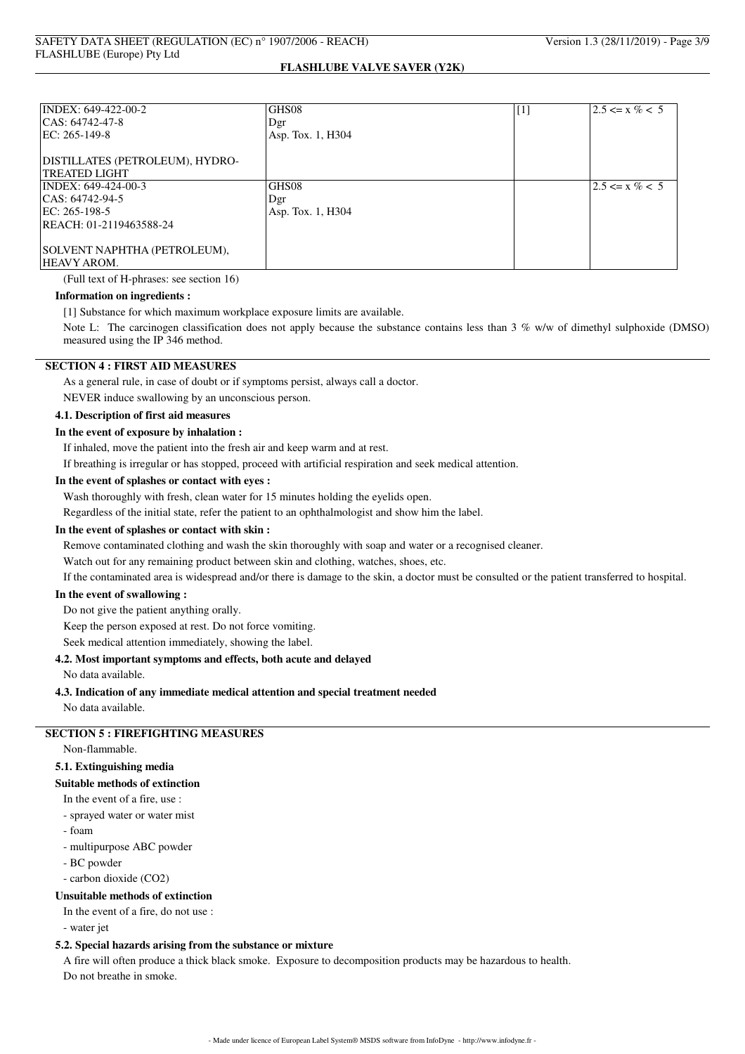| INDEX: 649-422-00-2             | GHS08             | $[1]$ | $2.5 \le x \% < 5$  |
|---------------------------------|-------------------|-------|---------------------|
| CAS: 64742-47-8                 | Dgr               |       |                     |
| EC: 265-149-8                   | Asp. Tox. 1, H304 |       |                     |
| DISTILLATES (PETROLEUM), HYDRO- |                   |       |                     |
| <b>TREATED LIGHT</b>            |                   |       |                     |
| INDEX: 649-424-00-3             | GHS08             |       | $12.5 \le x \% < 5$ |
| ICAS: 64742-94-5                | Dgr               |       |                     |
| EC: 265-198-5                   | Asp. Tox. 1, H304 |       |                     |
| REACH: 01-2119463588-24         |                   |       |                     |
| SOLVENT NAPHTHA (PETROLEUM),    |                   |       |                     |
| <b>HEAVY AROM.</b>              |                   |       |                     |

(Full text of H-phrases: see section 16)

### **Information on ingredients :**

[1] Substance for which maximum workplace exposure limits are available.

Note L: The carcinogen classification does not apply because the substance contains less than 3 % w/w of dimethyl sulphoxide (DMSO) measured using the IP 346 method.

## **SECTION 4 : FIRST AID MEASURES**

As a general rule, in case of doubt or if symptoms persist, always call a doctor.

NEVER induce swallowing by an unconscious person.

## **4.1. Description of first aid measures**

## **In the event of exposure by inhalation :**

If inhaled, move the patient into the fresh air and keep warm and at rest.

If breathing is irregular or has stopped, proceed with artificial respiration and seek medical attention.

#### **In the event of splashes or contact with eyes :**

Wash thoroughly with fresh, clean water for 15 minutes holding the eyelids open.

Regardless of the initial state, refer the patient to an ophthalmologist and show him the label.

### **In the event of splashes or contact with skin :**

Remove contaminated clothing and wash the skin thoroughly with soap and water or a recognised cleaner.

Watch out for any remaining product between skin and clothing, watches, shoes, etc.

If the contaminated area is widespread and/or there is damage to the skin, a doctor must be consulted or the patient transferred to hospital.

### **In the event of swallowing :**

### Do not give the patient anything orally.

Keep the person exposed at rest. Do not force vomiting.

Seek medical attention immediately, showing the label.

### **4.2. Most important symptoms and effects, both acute and delayed**

No data available.

### **4.3. Indication of any immediate medical attention and special treatment needed**

No data available.

# **SECTION 5 : FIREFIGHTING MEASURES**

Non-flammable.

## **5.1. Extinguishing media**

## **Suitable methods of extinction**

In the event of a fire, use :

- sprayed water or water mist
- foam
- multipurpose ABC powder
- BC powder
- carbon dioxide (CO2)

# **Unsuitable methods of extinction**

In the event of a fire, do not use :

- water jet

## **5.2. Special hazards arising from the substance or mixture**

A fire will often produce a thick black smoke. Exposure to decomposition products may be hazardous to health. Do not breathe in smoke.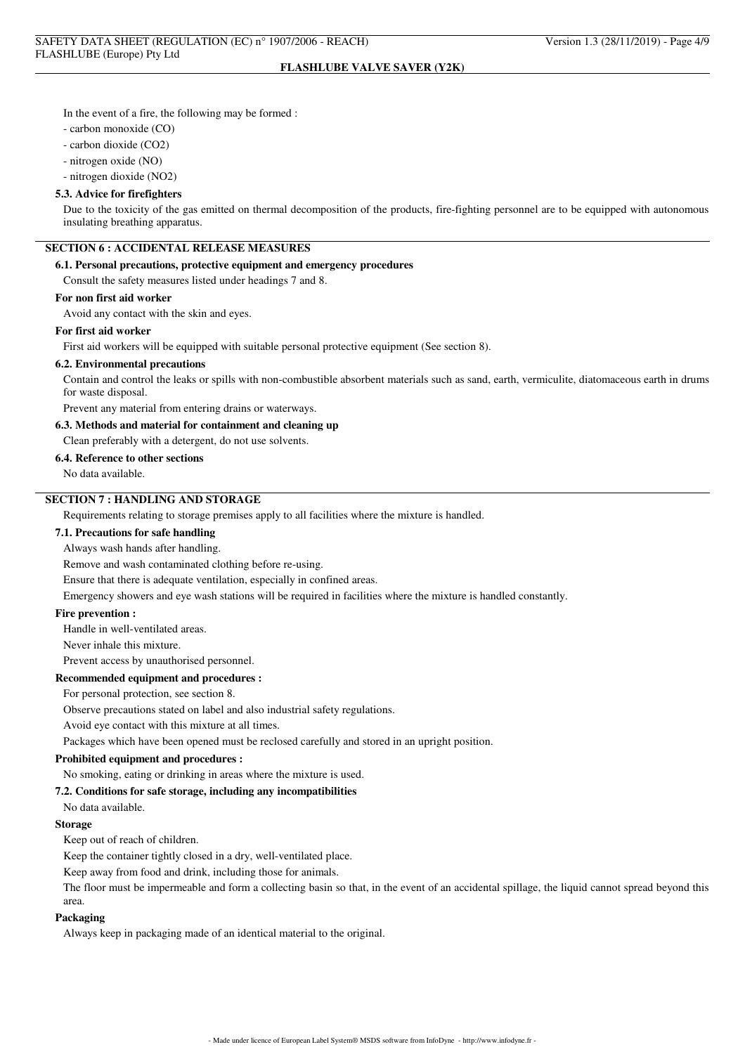In the event of a fire, the following may be formed :

- carbon monoxide (CO)
- carbon dioxide (CO2)
- nitrogen oxide (NO)

- nitrogen dioxide (NO2)

#### **5.3. Advice for firefighters**

Due to the toxicity of the gas emitted on thermal decomposition of the products, fire-fighting personnel are to be equipped with autonomous insulating breathing apparatus.

## **SECTION 6 : ACCIDENTAL RELEASE MEASURES**

### **6.1. Personal precautions, protective equipment and emergency procedures**

Consult the safety measures listed under headings 7 and 8.

### **For non first aid worker**

Avoid any contact with the skin and eyes.

#### **For first aid worker**

First aid workers will be equipped with suitable personal protective equipment (See section 8).

#### **6.2. Environmental precautions**

Contain and control the leaks or spills with non-combustible absorbent materials such as sand, earth, vermiculite, diatomaceous earth in drums for waste disposal.

Prevent any material from entering drains or waterways.

#### **6.3. Methods and material for containment and cleaning up**

Clean preferably with a detergent, do not use solvents.

#### **6.4. Reference to other sections**

No data available.

## **SECTION 7 : HANDLING AND STORAGE**

Requirements relating to storage premises apply to all facilities where the mixture is handled.

### **7.1. Precautions for safe handling**

Always wash hands after handling.

Remove and wash contaminated clothing before re-using.

Ensure that there is adequate ventilation, especially in confined areas.

Emergency showers and eye wash stations will be required in facilities where the mixture is handled constantly.

### **Fire prevention :**

Handle in well-ventilated areas.

Never inhale this mixture.

Prevent access by unauthorised personnel.

### **Recommended equipment and procedures :**

For personal protection, see section 8.

Observe precautions stated on label and also industrial safety regulations.

Avoid eye contact with this mixture at all times.

Packages which have been opened must be reclosed carefully and stored in an upright position.

## **Prohibited equipment and procedures :**

No smoking, eating or drinking in areas where the mixture is used.

### **7.2. Conditions for safe storage, including any incompatibilities**

No data available.

#### **Storage**

Keep out of reach of children.

Keep the container tightly closed in a dry, well-ventilated place.

Keep away from food and drink, including those for animals.

The floor must be impermeable and form a collecting basin so that, in the event of an accidental spillage, the liquid cannot spread beyond this area.

#### **Packaging**

Always keep in packaging made of an identical material to the original.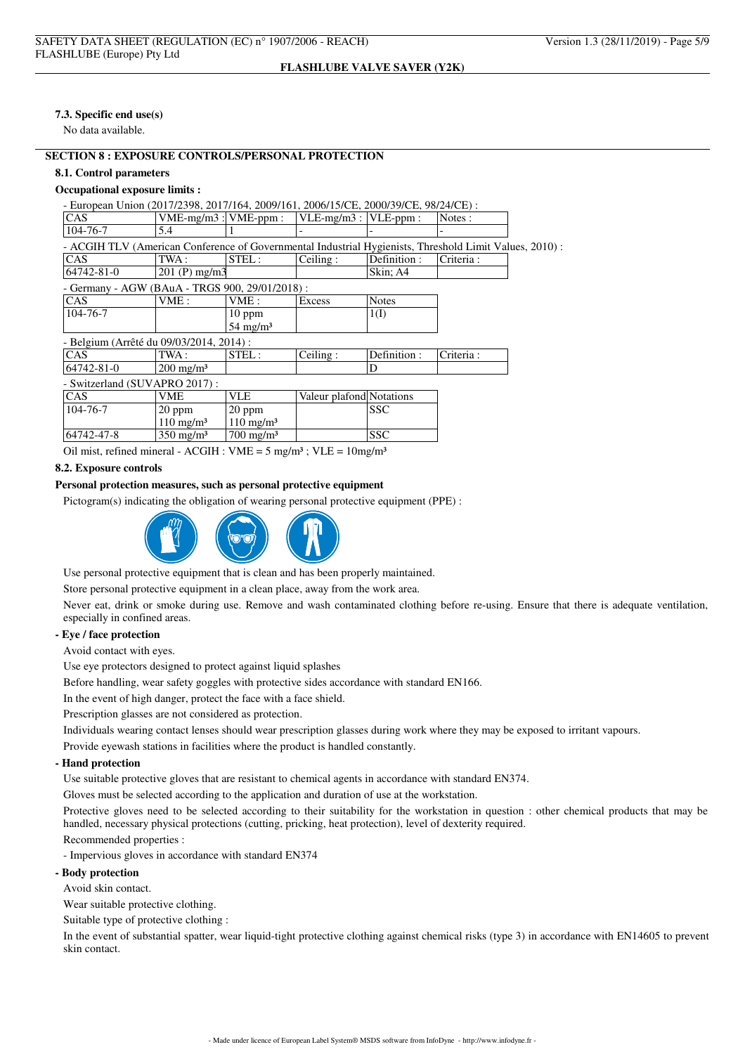## **7.3. Specific end use(s)**

No data available.

## **SECTION 8 : EXPOSURE CONTROLS/PERSONAL PROTECTION**

### **8.1. Control parameters**

### **Occupational exposure limits :**

| - European Union (2017/2398, 2017/164, 2009/161, 2006/15/CE, 2000/39/CE, 98/24/CE) :                    |                           |                      |                          |              |           |  |
|---------------------------------------------------------------------------------------------------------|---------------------------|----------------------|--------------------------|--------------|-----------|--|
| <b>CAS</b>                                                                                              | $VME-mg/m3$ : $VME-ppm$ : |                      | $VLE-mg/m3:$             | $VLE-ppm$ :  | Notes:    |  |
| 104-76-7                                                                                                | 5.4                       |                      |                          |              |           |  |
| - ACGIH TLV (American Conference of Governmental Industrial Hygienists, Threshold Limit Values, 2010) : |                           |                      |                          |              |           |  |
| CAS                                                                                                     | TWA :                     | STEL:                | Ceiling:                 | Definition : | Criteria: |  |
| 64742-81-0                                                                                              | $201$ (P) mg/m3           |                      |                          | Skin; A4     |           |  |
| - Germany - AGW (BAuA - TRGS 900, 29/01/2018) :                                                         |                           |                      |                          |              |           |  |
| <b>CAS</b>                                                                                              | VME:                      | VME:                 | Excess                   | <b>Notes</b> |           |  |
| 104-76-7                                                                                                |                           | $10$ ppm             |                          | 1(I)         |           |  |
|                                                                                                         |                           | $54 \text{ mg/m}^3$  |                          |              |           |  |
| - Belgium (Arrêté du 09/03/2014, 2014) :                                                                |                           |                      |                          |              |           |  |
| <b>CAS</b>                                                                                              | TWA :                     | STEL:                | Ceiling:                 | Definition:  | Criteria: |  |
| 64742-81-0                                                                                              | $200 \text{ mg/m}^3$      |                      |                          | D            |           |  |
| - Switzerland (SUVAPRO 2017):                                                                           |                           |                      |                          |              |           |  |
| <b>CAS</b>                                                                                              | VME                       | VLE                  | Valeur plafond Notations |              |           |  |
| 104-76-7                                                                                                | $20$ ppm                  | $20$ ppm             |                          | <b>SSC</b>   |           |  |
|                                                                                                         | $110 \text{ mg/m}^3$      | $110 \text{ mg/m}^3$ |                          |              |           |  |
| 64742-47-8                                                                                              | $350 \text{ mg/m}^3$      | $700 \text{ mg/m}^3$ |                          | <b>SSC</b>   |           |  |

Oil mist, refined mineral - ACGIH :  $VME = 5$  mg/m<sup>3</sup>;  $VLE = 10$ mg/m<sup>3</sup>

### **8.2. Exposure controls**

## **Personal protection measures, such as personal protective equipment**

Pictogram(s) indicating the obligation of wearing personal protective equipment (PPE) :



Use personal protective equipment that is clean and has been properly maintained.

Store personal protective equipment in a clean place, away from the work area.

Never eat, drink or smoke during use. Remove and wash contaminated clothing before re-using. Ensure that there is adequate ventilation, especially in confined areas.

## **- Eye / face protection**

Avoid contact with eyes.

Use eye protectors designed to protect against liquid splashes

Before handling, wear safety goggles with protective sides accordance with standard EN166.

In the event of high danger, protect the face with a face shield.

Prescription glasses are not considered as protection.

Individuals wearing contact lenses should wear prescription glasses during work where they may be exposed to irritant vapours.

Provide eyewash stations in facilities where the product is handled constantly.

### **- Hand protection**

Use suitable protective gloves that are resistant to chemical agents in accordance with standard EN374.

Gloves must be selected according to the application and duration of use at the workstation.

Protective gloves need to be selected according to their suitability for the workstation in question : other chemical products that may be handled, necessary physical protections (cutting, pricking, heat protection), level of dexterity required.

Recommended properties :

- Impervious gloves in accordance with standard EN374

**- Body protection**

Avoid skin contact.

Wear suitable protective clothing.

Suitable type of protective clothing :

In the event of substantial spatter, wear liquid-tight protective clothing against chemical risks (type 3) in accordance with EN14605 to prevent skin contact.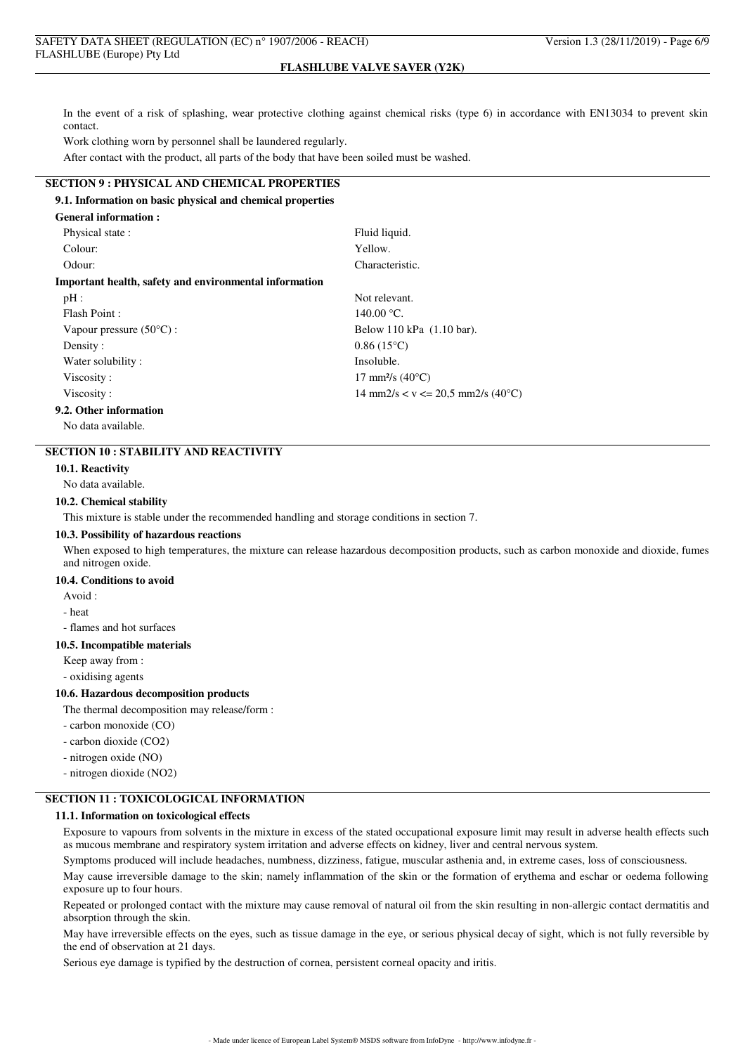In the event of a risk of splashing, wear protective clothing against chemical risks (type 6) in accordance with EN13034 to prevent skin contact.

Work clothing worn by personnel shall be laundered regularly.

After contact with the product, all parts of the body that have been soiled must be washed.

## **SECTION 9 : PHYSICAL AND CHEMICAL PROPERTIES**

## **9.1. Information on basic physical and chemical properties**

| <b>General information:</b>                            |                                                             |
|--------------------------------------------------------|-------------------------------------------------------------|
| Physical state:                                        | Fluid liquid.                                               |
| Colour:                                                | Yellow.                                                     |
| Odour:                                                 | Characteristic.                                             |
| Important health, safety and environmental information |                                                             |
| pH:                                                    | Not relevant.                                               |
| Flash Point:                                           | 140.00 °C.                                                  |
| Vapour pressure $(50^{\circ}C)$ :                      | Below 110 kPa (1.10 bar).                                   |
| Density:                                               | $0.86(15^{\circ}C)$                                         |
| Water solubility:                                      | Insoluble.                                                  |
| Viscosity:                                             | 17 mm <sup>2</sup> /s $(40^{\circ}C)$                       |
| Viscosity:                                             | $14 \text{ mm}2/s < v \le 20.5 \text{ mm}2/s (40^{\circ}C)$ |
| 9.2. Other information                                 |                                                             |

No data available.

## **SECTION 10 : STABILITY AND REACTIVITY**

#### **10.1. Reactivity**

No data available.

## **10.2. Chemical stability**

This mixture is stable under the recommended handling and storage conditions in section 7.

#### **10.3. Possibility of hazardous reactions**

When exposed to high temperatures, the mixture can release hazardous decomposition products, such as carbon monoxide and dioxide, fumes and nitrogen oxide.

### **10.4. Conditions to avoid**

Avoid :

- heat

- flames and hot surfaces

#### **10.5. Incompatible materials**

Keep away from :

- oxidising agents

### **10.6. Hazardous decomposition products**

The thermal decomposition may release/form :

- carbon monoxide (CO)
- carbon dioxide (CO2)
- nitrogen oxide (NO)
- nitrogen dioxide (NO2)

### **SECTION 11 : TOXICOLOGICAL INFORMATION**

#### **11.1. Information on toxicological effects**

Exposure to vapours from solvents in the mixture in excess of the stated occupational exposure limit may result in adverse health effects such as mucous membrane and respiratory system irritation and adverse effects on kidney, liver and central nervous system.

Symptoms produced will include headaches, numbness, dizziness, fatigue, muscular asthenia and, in extreme cases, loss of consciousness.

May cause irreversible damage to the skin; namely inflammation of the skin or the formation of erythema and eschar or oedema following exposure up to four hours.

Repeated or prolonged contact with the mixture may cause removal of natural oil from the skin resulting in non-allergic contact dermatitis and absorption through the skin.

May have irreversible effects on the eyes, such as tissue damage in the eye, or serious physical decay of sight, which is not fully reversible by the end of observation at 21 days.

Serious eye damage is typified by the destruction of cornea, persistent corneal opacity and iritis.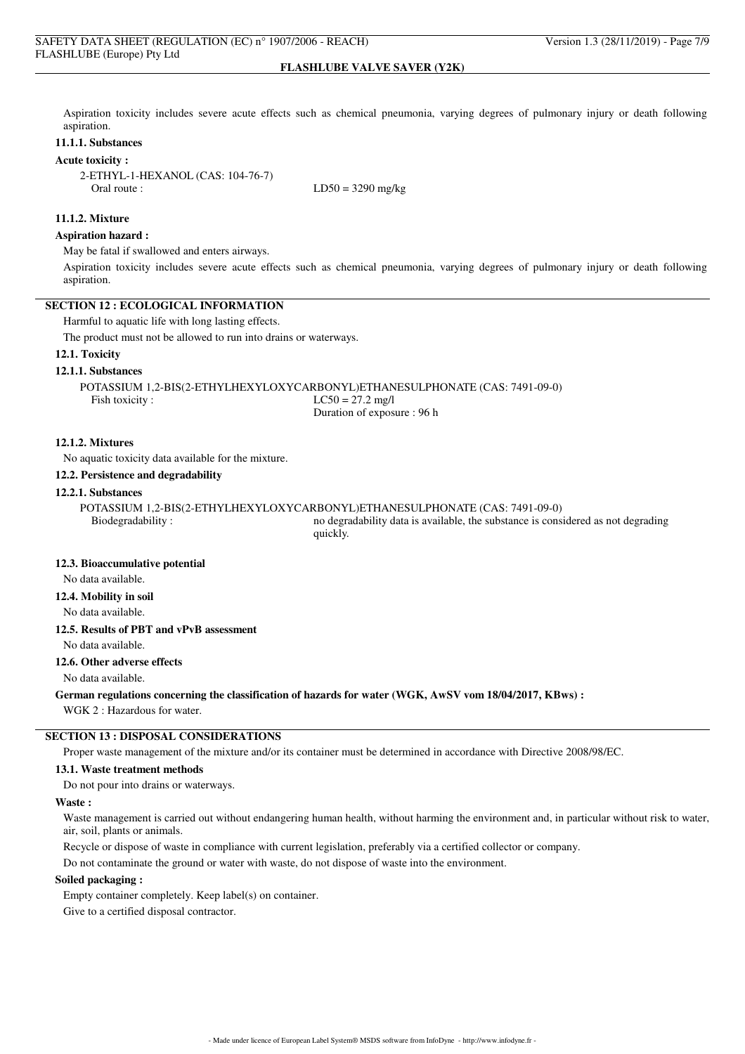Aspiration toxicity includes severe acute effects such as chemical pneumonia, varying degrees of pulmonary injury or death following aspiration.

### **11.1.1. Substances**

### **Acute toxicity :**

2-ETHYL-1-HEXANOL (CAS: 104-76-7) Oral route :  $LD50 = 3290$  mg/kg

### **11.1.2. Mixture**

### **Aspiration hazard :**

May be fatal if swallowed and enters airways.

Aspiration toxicity includes severe acute effects such as chemical pneumonia, varying degrees of pulmonary injury or death following aspiration.

#### **SECTION 12 : ECOLOGICAL INFORMATION**

Harmful to aquatic life with long lasting effects.

The product must not be allowed to run into drains or waterways.

### **12.1. Toxicity**

#### **12.1.1. Substances**

POTASSIUM 1,2-BIS(2-ETHYLHEXYLOXYCARBONYL)ETHANESULPHONATE (CAS: 7491-09-0) Fish toxicity :  $LC50 = 27.2$  mg/l Duration of exposure : 96 h

**12.1.2. Mixtures**

No aquatic toxicity data available for the mixture.

#### **12.2. Persistence and degradability**

#### **12.2.1. Substances**

POTASSIUM 1,2-BIS(2-ETHYLHEXYLOXYCARBONYL)ETHANESULPHONATE (CAS: 7491-09-0) Biodegradability : no degradability data is available, the substance is considered as not degrading

quickly.

## **12.3. Bioaccumulative potential**

No data available.

### **12.4. Mobility in soil**

No data available.

## **12.5. Results of PBT and vPvB assessment**

No data available.

## **12.6. Other adverse effects**

No data available.

#### **German regulations concerning the classification of hazards for water (WGK, AwSV vom 18/04/2017, KBws) :**

WGK 2 : Hazardous for water.

# **SECTION 13 : DISPOSAL CONSIDERATIONS**

Proper waste management of the mixture and/or its container must be determined in accordance with Directive 2008/98/EC.

## **13.1. Waste treatment methods**

Do not pour into drains or waterways.

## **Waste :**

Waste management is carried out without endangering human health, without harming the environment and, in particular without risk to water, air, soil, plants or animals.

Recycle or dispose of waste in compliance with current legislation, preferably via a certified collector or company.

Do not contaminate the ground or water with waste, do not dispose of waste into the environment.

## **Soiled packaging :**

Empty container completely. Keep label(s) on container. Give to a certified disposal contractor.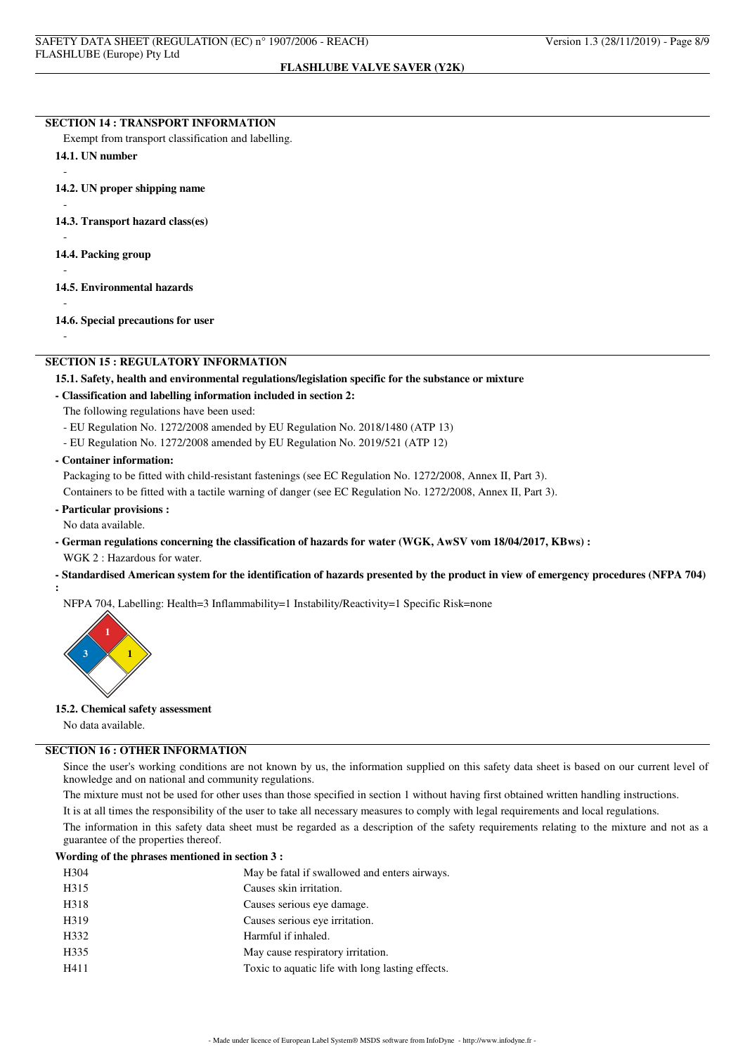### **SECTION 14 : TRANSPORT INFORMATION**

Exempt from transport classification and labelling.

## **14.1. UN number**

**14.2. UN proper shipping name**

**14.3. Transport hazard class(es)**

**14.4. Packing group**

**14.5. Environmental hazards**

-

-

-

-

-

-

**14.6. Special precautions for user**

### **SECTION 15 : REGULATORY INFORMATION**

### **15.1. Safety, health and environmental regulations/legislation specific for the substance or mixture**

### **- Classification and labelling information included in section 2:**

- The following regulations have been used:
- EU Regulation No. 1272/2008 amended by EU Regulation No. 2018/1480 (ATP 13)
- EU Regulation No. 1272/2008 amended by EU Regulation No. 2019/521 (ATP 12)

### **- Container information:**

Packaging to be fitted with child-resistant fastenings (see EC Regulation No. 1272/2008, Annex II, Part 3).

Containers to be fitted with a tactile warning of danger (see EC Regulation No. 1272/2008, Annex II, Part 3).

### **- Particular provisions :**

No data available.

**:**

**- German regulations concerning the classification of hazards for water (WGK, AwSV vom 18/04/2017, KBws) :** WGK 2 : Hazardous for water.

#### **- Standardised American system for the identification of hazards presented by the product in view of emergency procedures (NFPA 704)**

NFPA 704, Labelling: Health=3 Inflammability=1 Instability/Reactivity=1 Specific Risk=none



#### **15.2. Chemical safety assessment**

No data available.

## **SECTION 16 : OTHER INFORMATION**

Since the user's working conditions are not known by us, the information supplied on this safety data sheet is based on our current level of knowledge and on national and community regulations.

The mixture must not be used for other uses than those specified in section 1 without having first obtained written handling instructions.

It is at all times the responsibility of the user to take all necessary measures to comply with legal requirements and local regulations.

The information in this safety data sheet must be regarded as a description of the safety requirements relating to the mixture and not as a guarantee of the properties thereof.

## **Wording of the phrases mentioned in section 3 :**

| H <sub>304</sub> | May be fatal if swallowed and enters airways.    |
|------------------|--------------------------------------------------|
| H315             | Causes skin irritation.                          |
| H318             | Causes serious eye damage.                       |
| H319             | Causes serious eye irritation.                   |
| H332             | Harmful if inhaled.                              |
| H335             | May cause respiratory irritation.                |
| H411             | Toxic to aquatic life with long lasting effects. |
|                  |                                                  |